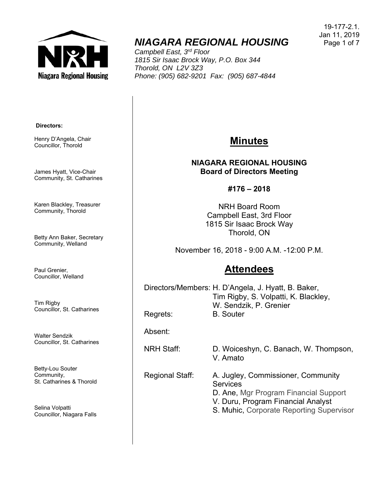

# *NIAGARA REGIONAL HOUSING*

*Campbell East, 3rd Floor 1815 Sir Isaac Brock Way, P.O. Box 344 Thorold, ON L2V 3Z3 Phone: (905) 682-9201 Fax: (905) 687-4844* 

19-177-2.1. Jan 11, 2019 Page 1 of 7

#### **Directors:**

Henry D'Angela, Chair Councillor, Thorold

James Hyatt, Vice-Chair Community, St. Catharines

Karen Blackley, Treasurer Community, Thorold

Betty Ann Baker, Secretary Community, Welland

Paul Grenier, Councillor, Welland

Tim Rigby Councillor, St. Catharines

Walter Sendzik Councillor, St. Catharines

Betty-Lou Souter Community, St. Catharines & Thorold

Selina Volpatti Councillor, Niagara Falls

### **Minutes**

**NIAGARA REGIONAL HOUSING Board of Directors Meeting** 

**#176 – 2018** 

NRH Board Room Campbell East, 3rd Floor 1815 Sir Isaac Brock Way Thorold, ON

November 16, 2018 - 9:00 A.M. -12:00 P.M.

## **Attendees**

Directors/Members: H. D'Angela, J. Hyatt, B. Baker, Tim Rigby, S. Volpatti, K. Blackley, W. Sendzik, P. Grenier Regrets: **B. Souter** 

Absent:

NRH Staff: D. Woiceshyn, C. Banach, W. Thompson, V. Amato

Regional Staff: A. Jugley, Commissioner, Community **Services** D. Ane, Mgr Program Financial Support V. Duru, Program Financial Analyst

S. Muhic, Corporate Reporting Supervisor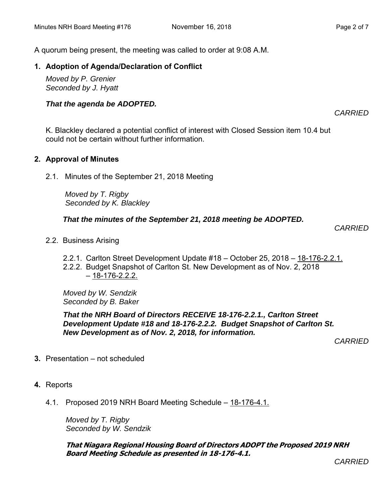A quorum being present, the meeting was called to order at 9:08 A.M.

#### **1. Adoption of Agenda/Declaration of Conflict**

*Moved by P. Grenier Seconded by J. Hyatt*

#### *That the agenda be ADOPTED.*

*CARRIED* 

K. Blackley declared a potential conflict of interest with Closed Session item 10.4 but could not be certain without further information.

### **2. Approval of Minutes**

2.1. Minutes of the September 21, 2018 Meeting

 *Moved by T. Rigby Seconded by K. Blackley*

*That the minutes of the September 21, 2018 meeting be ADOPTED.* 

 *CARRIED* 

- 2.2. Business Arising
	- 2.2.1. Carlton Street Development Update #18 October 25, 2018 18-176-2.2.1.
	- 2.2.2. Budget Snapshot of Carlton St. New Development as of Nov. 2, 2018  $-18-176-2.2.2$

*Moved by W. Sendzik Seconded by B. Baker* 

*That the NRH Board of Directors RECEIVE 18-176-2.2.1., Carlton Street Development Update #18 and 18-176-2.2.2. Budget Snapshot of Carlton St. New Development as of Nov. 2, 2018, for information.* 

*CARRIED* 

- **3.** Presentation not scheduled
- **4.** Reports
	- 4.1. Proposed 2019 NRH Board Meeting Schedule 18-176-4.1.

*Moved by T. Rigby Seconded by W. Sendzik*

**That Niagara Regional Housing Board of Directors ADOPT the Proposed 2019 NRH Board Meeting Schedule as presented in 18-176-4.1.**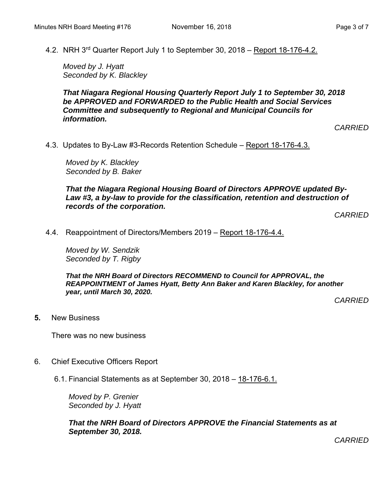4.2. NRH 3rd Quarter Report July 1 to September 30, 2018 – Report 18-176-4.2.

*Moved by J. Hyatt Seconded by K. Blackley* 

*That Niagara Regional Housing Quarterly Report July 1 to September 30, 2018 be APPROVED and FORWARDED to the Public Health and Social Services Committee and subsequently to Regional and Municipal Councils for information.* 

*CARRIED* 

4.3. Updates to By-Law #3-Records Retention Schedule – Report 18-176-4.3.

*Moved by K. Blackley Seconded by B. Baker* 

*That the Niagara Regional Housing Board of Directors APPROVE updated By-Law #3, a by-law to provide for the classification, retention and destruction of records of the corporation.* 

*CARRIED* 

4.4. Reappointment of Directors/Members 2019 – Report 18-176-4.4.

*Moved by W. Sendzik Seconded by T. Rigby* 

*That the NRH Board of Directors RECOMMEND to Council for APPROVAL, the REAPPOINTMENT of James Hyatt, Betty Ann Baker and Karen Blackley, for another year, until March 30, 2020.* 

*CARRIED* 

**5.** New Business

There was no new business

- 6. Chief Executive Officers Report
	- 6.1. Financial Statements as at September 30, 2018 18-176-6.1.

*Moved by P. Grenier Seconded by J. Hyatt*

*That the NRH Board of Directors APPROVE the Financial Statements as at September 30, 2018.*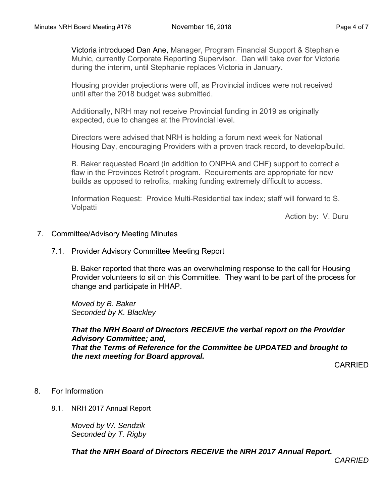Victoria introduced Dan Ane, Manager, Program Financial Support & Stephanie Muhic, currently Corporate Reporting Supervisor. Dan will take over for Victoria during the interim, until Stephanie replaces Victoria in January.

Housing provider projections were off, as Provincial indices were not received until after the 2018 budget was submitted.

Additionally, NRH may not receive Provincial funding in 2019 as originally expected, due to changes at the Provincial level.

Directors were advised that NRH is holding a forum next week for National Housing Day, encouraging Providers with a proven track record, to develop/build.

B. Baker requested Board (in addition to ONPHA and CHF) support to correct a flaw in the Provinces Retrofit program. Requirements are appropriate for new builds as opposed to retrofits, making funding extremely difficult to access.

Information Request: Provide Multi-Residential tax index; staff will forward to S. Volpatti

Action by: V. Duru

#### 7. Committee/Advisory Meeting Minutes

7.1. Provider Advisory Committee Meeting Report

B. Baker reported that there was an overwhelming response to the call for Housing Provider volunteers to sit on this Committee. They want to be part of the process for change and participate in HHAP.

*Moved by B. Baker Seconded by K. Blackley* 

*That the NRH Board of Directors RECEIVE the verbal report on the Provider Advisory Committee; and, That the Terms of Reference for the Committee be UPDATED and brought to the next meeting for Board approval.* 

CARRIED

### 8. For Information

8.1. NRH 2017 Annual Report

*Moved by W. Sendzik Seconded by T. Rigby* 

*That the NRH Board of Directors RECEIVE the NRH 2017 Annual Report.*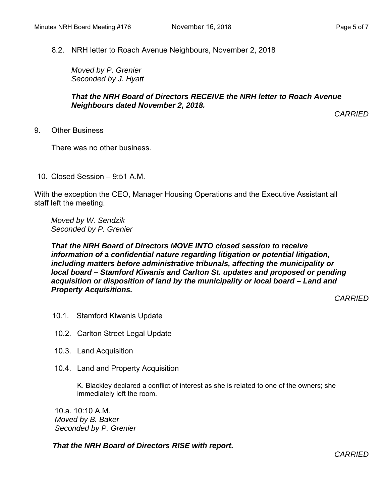8.2. NRH letter to Roach Avenue Neighbours, November 2, 2018

*Moved by P. Grenier Seconded by J. Hyatt* 

#### *That the NRH Board of Directors RECEIVE the NRH letter to Roach Avenue Neighbours dated November 2, 2018.*

*CARRIED*

9. Other Business

There was no other business.

10. Closed Session – 9:51 A.M.

With the exception the CEO, Manager Housing Operations and the Executive Assistant all staff left the meeting.

*Moved by W. Sendzik Seconded by P. Grenier* 

#### *That the NRH Board of Directors MOVE INTO closed session to receive information of a confidential nature regarding litigation or potential litigation, including matters before administrative tribunals, affecting the municipality or local board – Stamford Kiwanis and Carlton St. updates and proposed or pending acquisition or disposition of land by the municipality or local board – Land and Property Acquisitions.*

*CARRIED* 

- 10.1. Stamford Kiwanis Update
- 10.2. Carlton Street Legal Update
- 10.3. Land Acquisition
- 10.4. Land and Property Acquisition

K. Blackley declared a conflict of interest as she is related to one of the owners; she immediately left the room.

 10.a. 10:10 A.M.  *Moved by B. Baker Seconded by P. Grenier* 

*That the NRH Board of Directors RISE with report.*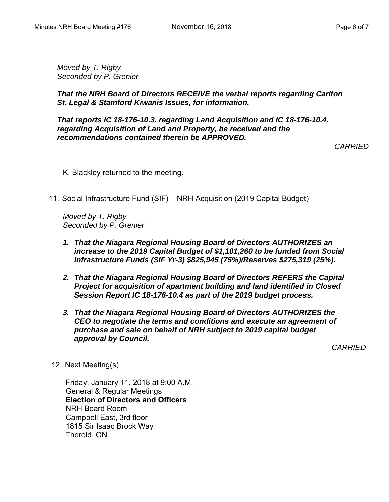*Moved by T. Rigby Seconded by P. Grenier* 

*That the NRH Board of Directors RECEIVE the verbal reports regarding Carlton St. Legal & Stamford Kiwanis Issues, for information.* 

*That reports IC 18-176-10.3. regarding Land Acquisition and IC 18-176-10.4. regarding Acquisition of Land and Property, be received and the recommendations contained therein be APPROVED.* 

*CARRIED*

K. Blackley returned to the meeting.

11. Social Infrastructure Fund (SIF) – NRH Acquisition (2019 Capital Budget)

*Moved by T. Rigby Seconded by P. Grenier* 

- *1. That the Niagara Regional Housing Board of Directors AUTHORIZES an increase to the 2019 Capital Budget of \$1,101,260 to be funded from Social Infrastructure Funds (SIF Yr-3) \$825,945 (75%)/Reserves \$275,319 (25%).*
- *2. That the Niagara Regional Housing Board of Directors REFERS the Capital Project for acquisition of apartment building and land identified in Closed Session Report IC 18-176-10.4 as part of the 2019 budget process.*
- *3. That the Niagara Regional Housing Board of Directors AUTHORIZES the CEO to negotiate the terms and conditions and execute an agreement of purchase and sale on behalf of NRH subject to 2019 capital budget approval by Council.*

*CARRIED* 

12. Next Meeting(s)

Friday, January 11, 2018 at 9:00 A.M. General & Regular Meetings **Election of Directors and Officers**  NRH Board Room Campbell East, 3rd floor 1815 Sir Isaac Brock Way Thorold, ON